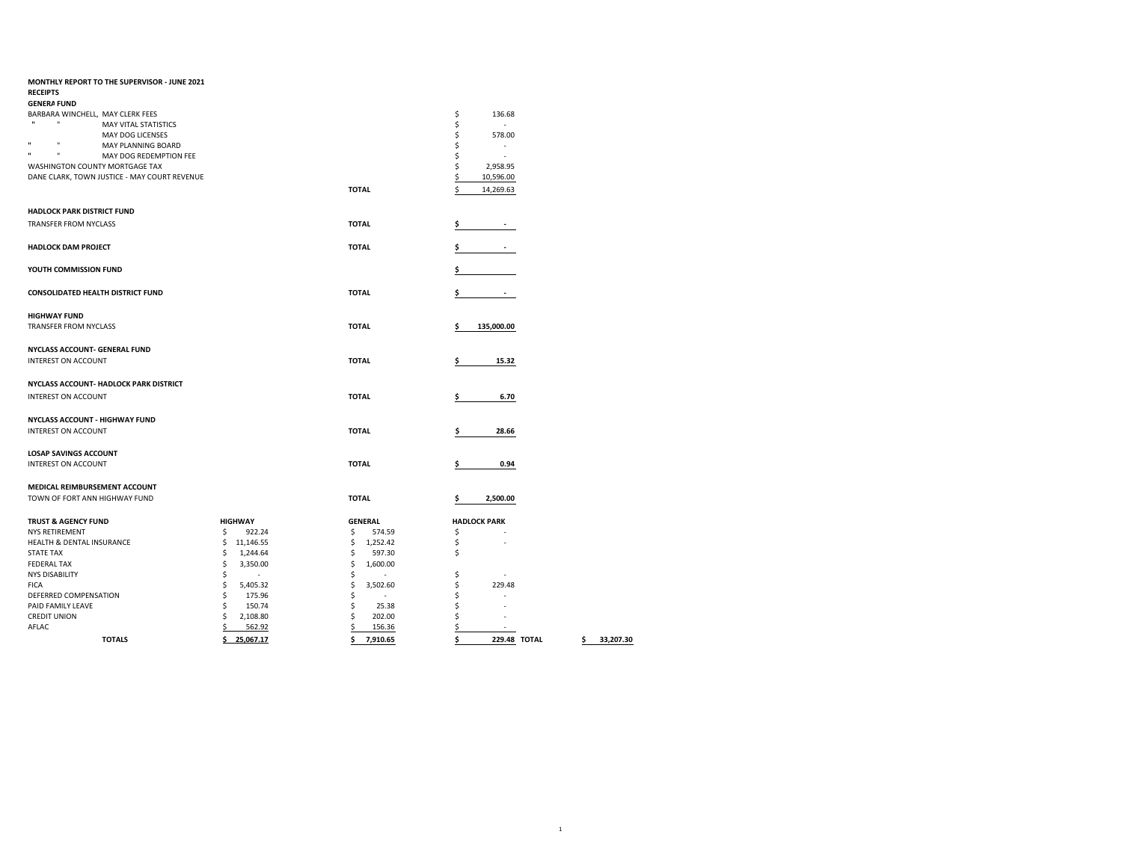| MONTHLY REPORT TO THE SUPERVISOR - JUNE 2021           |                 |                      |    |                     |                 |
|--------------------------------------------------------|-----------------|----------------------|----|---------------------|-----------------|
| <b>RECEIPTS</b>                                        |                 |                      |    |                     |                 |
| <b>GENERA FUND</b>                                     |                 |                      |    |                     |                 |
| BARBARA WINCHELL, MAY CLERK FEES                       |                 |                      | \$ | 136.68              |                 |
| $\mathbf{u}$<br>$\mathbf{u}$<br>MAY VITAL STATISTICS   |                 |                      | \$ | ×.                  |                 |
| MAY DOG LICENSES                                       |                 |                      | \$ | 578.00              |                 |
| $\mathbf{u}$<br>$\mathbf{u}$<br>MAY PLANNING BOARD     |                 |                      | \$ |                     |                 |
| $\mathbf{u}$<br>$\mathbf{u}$<br>MAY DOG REDEMPTION FEE |                 |                      | \$ |                     |                 |
| WASHINGTON COUNTY MORTGAGE TAX                         |                 |                      | \$ | 2,958.95            |                 |
| DANE CLARK, TOWN JUSTICE - MAY COURT REVENUE           |                 |                      | Ś  | 10,596.00           |                 |
|                                                        |                 | <b>TOTAL</b>         | Ś  | 14,269.63           |                 |
|                                                        |                 |                      |    |                     |                 |
| <b>HADLOCK PARK DISTRICT FUND</b>                      |                 |                      |    |                     |                 |
|                                                        |                 |                      |    |                     |                 |
| TRANSFER FROM NYCLASS                                  |                 | <b>TOTAL</b>         | \$ |                     |                 |
|                                                        |                 |                      |    |                     |                 |
| <b>HADLOCK DAM PROJECT</b>                             |                 | <b>TOTAL</b>         |    |                     |                 |
|                                                        |                 |                      |    |                     |                 |
| YOUTH COMMISSION FUND                                  |                 |                      |    |                     |                 |
|                                                        |                 |                      |    |                     |                 |
| <b>CONSOLIDATED HEALTH DISTRICT FUND</b>               |                 | <b>TOTAL</b>         |    |                     |                 |
|                                                        |                 |                      |    |                     |                 |
|                                                        |                 |                      |    |                     |                 |
| <b>HIGHWAY FUND</b>                                    |                 |                      |    |                     |                 |
| TRANSFER FROM NYCLASS                                  |                 | <b>TOTAL</b>         | Ś  | 135,000.00          |                 |
|                                                        |                 |                      |    |                     |                 |
| NYCLASS ACCOUNT- GENERAL FUND                          |                 |                      |    |                     |                 |
| <b>INTEREST ON ACCOUNT</b>                             |                 | <b>TOTAL</b>         |    | 15.32               |                 |
|                                                        |                 |                      |    |                     |                 |
| NYCLASS ACCOUNT- HADLOCK PARK DISTRICT                 |                 |                      |    |                     |                 |
| <b>INTEREST ON ACCOUNT</b>                             |                 | <b>TOTAL</b>         | Ś  | 6.70                |                 |
|                                                        |                 |                      |    |                     |                 |
| NYCLASS ACCOUNT - HIGHWAY FUND                         |                 |                      |    |                     |                 |
|                                                        |                 |                      |    |                     |                 |
| <b>INTEREST ON ACCOUNT</b>                             |                 | <b>TOTAL</b>         | \$ | 28.66               |                 |
|                                                        |                 |                      |    |                     |                 |
| <b>LOSAP SAVINGS ACCOUNT</b>                           |                 |                      |    |                     |                 |
| <b>INTEREST ON ACCOUNT</b>                             |                 | <b>TOTAL</b>         |    | 0.94                |                 |
|                                                        |                 |                      |    |                     |                 |
| MEDICAL REIMBURSEMENT ACCOUNT                          |                 |                      |    |                     |                 |
| TOWN OF FORT ANN HIGHWAY FUND                          |                 | <b>TOTAL</b>         |    | 2,500.00            |                 |
|                                                        |                 |                      |    |                     |                 |
| <b>TRUST &amp; AGENCY FUND</b>                         | <b>HIGHWAY</b>  | <b>GENERAL</b>       |    | <b>HADLOCK PARK</b> |                 |
| <b>NYS RETIREMENT</b>                                  | \$<br>922.24    | \$<br>574.59         | \$ |                     |                 |
| HEALTH & DENTAL INSURANCE                              | \$<br>11,146.55 | \$<br>1,252.42       | \$ |                     |                 |
| <b>STATE TAX</b>                                       | \$<br>1,244.64  | \$<br>597.30         | \$ |                     |                 |
| <b>FEDERAL TAX</b>                                     | Ś<br>3,350.00   | \$<br>1,600.00       |    |                     |                 |
| <b>NYS DISABILITY</b>                                  | Ś               | \$                   | \$ |                     |                 |
| <b>FICA</b>                                            | \$<br>5,405.32  | \$<br>3,502.60       | \$ | 229.48              |                 |
| DEFERRED COMPENSATION                                  | Ś<br>175.96     | \$<br>$\overline{a}$ | Ś  | ä,                  |                 |
| PAID FAMILY LEAVE                                      | Ś<br>150.74     | \$<br>25.38          | \$ | $\overline{a}$      |                 |
| <b>CREDIT UNION</b>                                    | Ś<br>2,108.80   | \$<br>202.00         | \$ |                     |                 |
| AFLAC                                                  | \$<br>562.92    | \$<br>156.36         | Ś  | ä,                  |                 |
|                                                        |                 |                      |    |                     |                 |
| <b>TOTALS</b>                                          | \$25,067.17     | \$<br>7,910.65       | \$ | 229.48 TOTAL        | 33,207.30<br>\$ |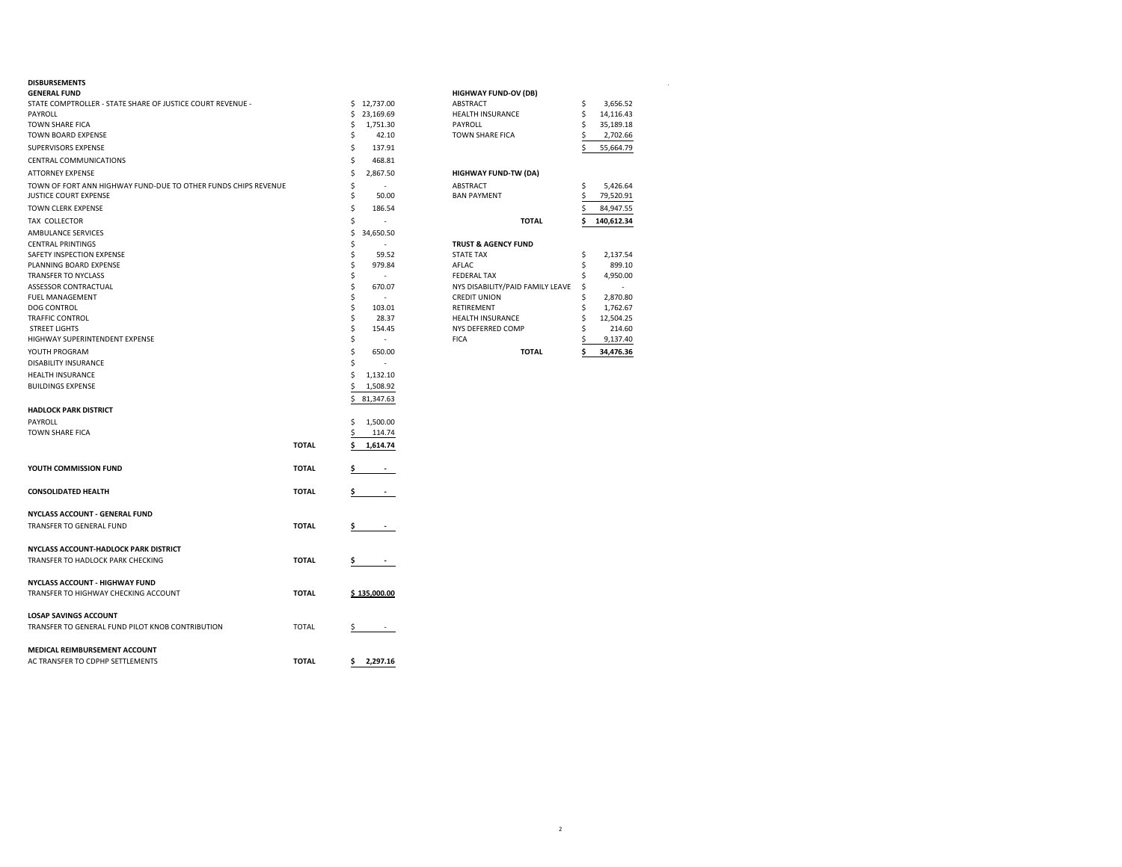| <b>GENERAL FUND</b><br>STATE COMPTROLLER - STATE SHARE OF JUSTICE COURT REVENUE - |              |    | \$12,737.00              | <b>HIGHWAY FUND-OV (DB)</b><br><b>ABSTRACT</b> | \$ | 3,656.52   |
|-----------------------------------------------------------------------------------|--------------|----|--------------------------|------------------------------------------------|----|------------|
| PAYROLL                                                                           |              | \$ | 23,169.69                | <b>HEALTH INSURANCE</b>                        | \$ | 14,116.43  |
| TOWN SHARE FICA                                                                   |              | \$ | 1,751.30                 | PAYROLL                                        | \$ | 35,189.18  |
| TOWN BOARD EXPENSE                                                                |              | \$ | 42.10                    | TOWN SHARE FICA                                |    | 2,702.66   |
| SUPERVISORS EXPENSE                                                               |              | \$ | 137.91                   |                                                |    | 55,664.79  |
| CENTRAL COMMUNICATIONS                                                            |              | \$ | 468.81                   |                                                |    |            |
| ATTORNEY EXPENSE                                                                  |              | \$ | 2,867.50                 | HIGHWAY FUND-TW (DA)                           |    |            |
| TOWN OF FORT ANN HIGHWAY FUND-DUE TO OTHER FUNDS CHIPS REVENUE                    |              | \$ | ÷.                       | ABSTRACT                                       | \$ | 5,426.64   |
| JUSTICE COURT EXPENSE                                                             |              | \$ | 50.00                    | <b>BAN PAYMENT</b>                             | Ś. | 79,520.91  |
| TOWN CLERK EXPENSE                                                                |              | Ś  | 186.54                   |                                                |    | 84,947.55  |
| TAX COLLECTOR                                                                     |              | \$ |                          | <b>TOTAL</b>                                   | \$ | 140,612.34 |
| AMBULANCE SERVICES                                                                |              | \$ | 34,650.50                |                                                |    |            |
| <b>CENTRAL PRINTINGS</b>                                                          |              | \$ |                          | <b>TRUST &amp; AGENCY FUND</b>                 |    |            |
| SAFETY INSPECTION EXPENSE                                                         |              | \$ | 59.52                    | <b>STATE TAX</b>                               | \$ | 2,137.54   |
| PLANNING BOARD EXPENSE                                                            |              | \$ | 979.84                   | AFLAC                                          | \$ | 899.10     |
| TRANSFER TO NYCLASS                                                               |              | \$ | $\sim$                   | <b>FEDERAL TAX</b>                             |    | 4,950.00   |
| ASSESSOR CONTRACTUAL                                                              |              | \$ | 670.07                   | NYS DISABILITY/PAID FAMILY LEAVE               | \$ |            |
| FUEL MANAGEMENT                                                                   |              | \$ |                          | <b>CREDIT UNION</b>                            | \$ | 2,870.80   |
| DOG CONTROL                                                                       |              | \$ | 103.01                   | RETIREMENT                                     |    | 1,762.67   |
| TRAFFIC CONTROL                                                                   |              | \$ | 28.37                    | <b>HEALTH INSURANCE</b>                        | Ś  | 12,504.25  |
| <b>STREET LIGHTS</b>                                                              |              | \$ | 154.45                   | NYS DEFERRED COMP                              |    | 214.60     |
| HIGHWAY SUPERINTENDENT EXPENSE                                                    |              | \$ | $\overline{\phantom{a}}$ | <b>FICA</b>                                    |    | 9,137.40   |
| YOUTH PROGRAM                                                                     |              | \$ | 650.00                   | <b>TOTAL</b>                                   |    | 34,476.36  |
| DISABILITY INSURANCE                                                              |              | \$ |                          |                                                |    |            |
| <b>HEALTH INSURANCE</b>                                                           |              | \$ | 1,132.10                 |                                                |    |            |
| <b>BUILDINGS EXPENSE</b>                                                          |              | \$ | 1,508.92                 |                                                |    |            |
|                                                                                   |              | \$ | 81,347.63                |                                                |    |            |
| <b>HADLOCK PARK DISTRICT</b>                                                      |              |    |                          |                                                |    |            |
| PAYROLL                                                                           |              | \$ | 1,500.00                 |                                                |    |            |
| TOWN SHARE FICA                                                                   |              |    | 114.74                   |                                                |    |            |
|                                                                                   | <b>TOTAL</b> | Ś  | 1,614.74                 |                                                |    |            |
| YOUTH COMMISSION FUND                                                             | <b>TOTAL</b> | Ş. |                          |                                                |    |            |
| <b>CONSOLIDATED HEALTH</b>                                                        | <b>TOTAL</b> | Ş. |                          |                                                |    |            |
| NYCLASS ACCOUNT - GENERAL FUND                                                    |              |    |                          |                                                |    |            |
| TRANSFER TO GENERAL FUND                                                          | <b>TOTAL</b> | Ş. |                          |                                                |    |            |
| NYCLASS ACCOUNT-HADLOCK PARK DISTRICT                                             |              |    |                          |                                                |    |            |
| TRANSFER TO HADLOCK PARK CHECKING                                                 | <b>TOTAL</b> | Ş. | $\sim 100$ m $^{-1}$     |                                                |    |            |
| NYCLASS ACCOUNT - HIGHWAY FUND                                                    |              |    |                          |                                                |    |            |
| TRANSFER TO HIGHWAY CHECKING ACCOUNT                                              | <b>TOTAL</b> |    | \$135,000.00             |                                                |    |            |
| <b>LOSAP SAVINGS ACCOUNT</b>                                                      |              |    |                          |                                                |    |            |
| TRANSFER TO GENERAL FUND PILOT KNOB CONTRIBUTION                                  | <b>TOTAL</b> | Ş. |                          |                                                |    |            |
| MEDICAL REIMBURSEMENT ACCOUNT                                                     |              |    |                          |                                                |    |            |
| AC TRANSFER TO CDPHP SETTLEMENTS                                                  | <b>TOTAL</b> |    | \$2,297.16               |                                                |    |            |
|                                                                                   |              |    |                          |                                                |    |            |

| <b>DISBURSEMENTS</b>                                           |           |                                  |            |  |
|----------------------------------------------------------------|-----------|----------------------------------|------------|--|
| <b>GENERAL FUND</b>                                            |           | <b>HIGHWAY FUND-OV (DB)</b>      |            |  |
| STATE COMPTROLLER - STATE SHARE OF JUSTICE COURT REVENUE -     | 12.737.00 | <b>ABSTRACT</b>                  | 3.656.52   |  |
| PAYROLL                                                        | 23,169.69 | <b>HEALTH INSURANCE</b>          | 14,116.43  |  |
| TOWN SHARE FICA                                                | 1,751.30  | PAYROLL                          | 35,189.18  |  |
| TOWN BOARD EXPENSE                                             | 42.10     | <b>TOWN SHARE FICA</b>           | 2,702.66   |  |
| <b>SUPERVISORS EXPENSE</b>                                     | 137.91    |                                  | 55,664.79  |  |
| <b>CENTRAL COMMUNICATIONS</b>                                  | 468.81    |                                  |            |  |
| ATTORNEY EXPENSE                                               | 2,867.50  | <b>HIGHWAY FUND-TW (DA)</b>      |            |  |
| TOWN OF FORT ANN HIGHWAY FUND-DUE TO OTHER FUNDS CHIPS REVENUE |           | <b>ABSTRACT</b>                  | 5.426.64   |  |
| <b>JUSTICE COURT EXPENSE</b>                                   | 50.00     | <b>BAN PAYMENT</b>               | 79,520.91  |  |
| TOWN CLERK EXPENSE                                             | 186.54    |                                  | 84,947.55  |  |
| TAX COLLECTOR                                                  |           | <b>TOTAL</b>                     | 140,612.34 |  |
| AMBULANCE SERVICES                                             | 34,650.50 |                                  |            |  |
| <b>CENTRAL PRINTINGS</b>                                       |           | <b>TRUST &amp; AGENCY FUND</b>   |            |  |
| <b>SAFETY INSPECTION EXPENSE</b>                               | 59.52     | <b>STATE TAX</b>                 | 2,137.54   |  |
| PLANNING BOARD EXPENSE                                         | 979.84    | AFLAC.                           | 899.10     |  |
| <b>TRANSFER TO NYCLASS</b>                                     |           | <b>FEDERAL TAX</b>               | 4.950.00   |  |
| <b>ASSESSOR CONTRACTUAL</b>                                    | 670.07    | NYS DISABILITY/PAID FAMILY LEAVE | $\sim$     |  |
| <b>FUEL MANAGEMENT</b>                                         |           | <b>CREDIT UNION</b>              | 2,870.80   |  |
| <b>DOG CONTROL</b>                                             | 103.01    | <b>RETIREMENT</b>                | 1,762.67   |  |
| <b>TRAFFIC CONTROL</b>                                         | 28.37     | <b>HEALTH INSURANCE</b>          | 12,504.25  |  |
| <b>STREET LIGHTS</b>                                           | 154.45    | NYS DEFERRED COMP                | 214.60     |  |
| HIGHWAY SUPERINTENDENT EXPENSE                                 |           | <b>FICA</b>                      | 9,137.40   |  |
| YOUTH PROGRAM                                                  | 650.00    | <b>TOTAL</b>                     | 34,476.36  |  |